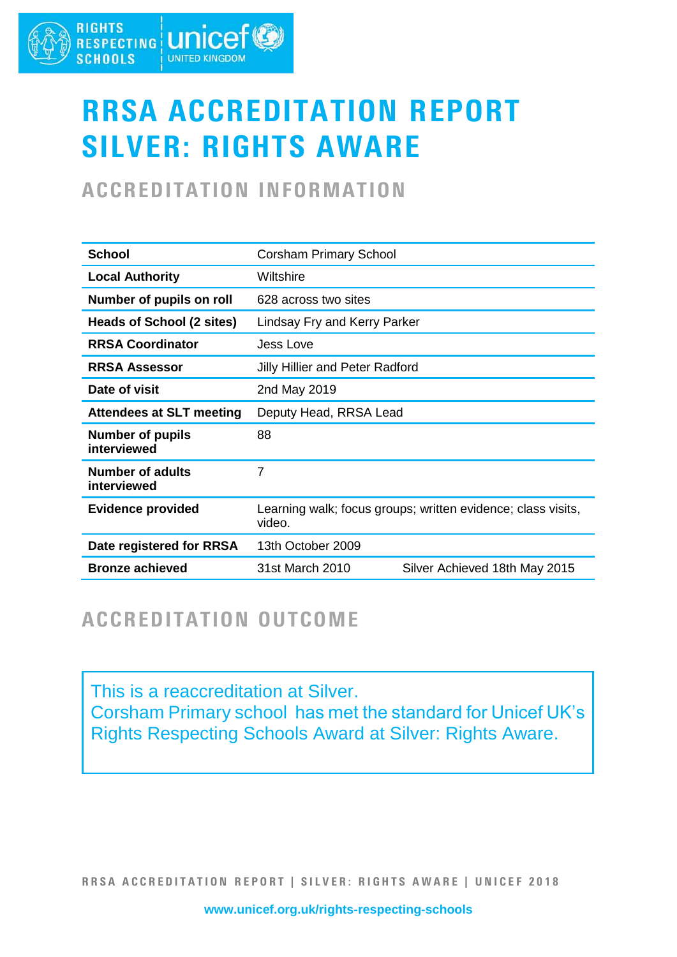#### **RIGHTS** RIGHTS **LINICEF SCHOOLS UNITED KINGDOM**

# RRSA ACCREDITATION REPORT SILVER: RIGHTS AWARE

## ACCREDITATION INFORMATION

| <b>School</b>                          | <b>Corsham Primary School</b>                                          |                               |
|----------------------------------------|------------------------------------------------------------------------|-------------------------------|
| <b>Local Authority</b>                 | Wiltshire                                                              |                               |
| Number of pupils on roll               | 628 across two sites                                                   |                               |
| Heads of School (2 sites)              | Lindsay Fry and Kerry Parker                                           |                               |
| <b>RRSA Coordinator</b>                | Jess Love                                                              |                               |
| <b>RRSA Assessor</b>                   | <b>Jilly Hillier and Peter Radford</b>                                 |                               |
| Date of visit                          | 2nd May 2019                                                           |                               |
| <b>Attendees at SLT meeting</b>        | Deputy Head, RRSA Lead                                                 |                               |
| <b>Number of pupils</b><br>interviewed | 88                                                                     |                               |
| <b>Number of adults</b><br>interviewed | 7                                                                      |                               |
| <b>Evidence provided</b>               | Learning walk; focus groups; written evidence; class visits,<br>video. |                               |
| Date registered for RRSA               | 13th October 2009                                                      |                               |
| <b>Bronze achieved</b>                 | 31st March 2010                                                        | Silver Achieved 18th May 2015 |

### ACCREDITATION OUTCOME

This is a reaccreditation at Silver. Corsham Primary school has met the standard for Unicef UK's Rights Respecting Schools Award at Silver: Rights Aware.

RRSA ACCREDITATION REPORT | SILVER: RIGHTS AWARE | UNICEF 2018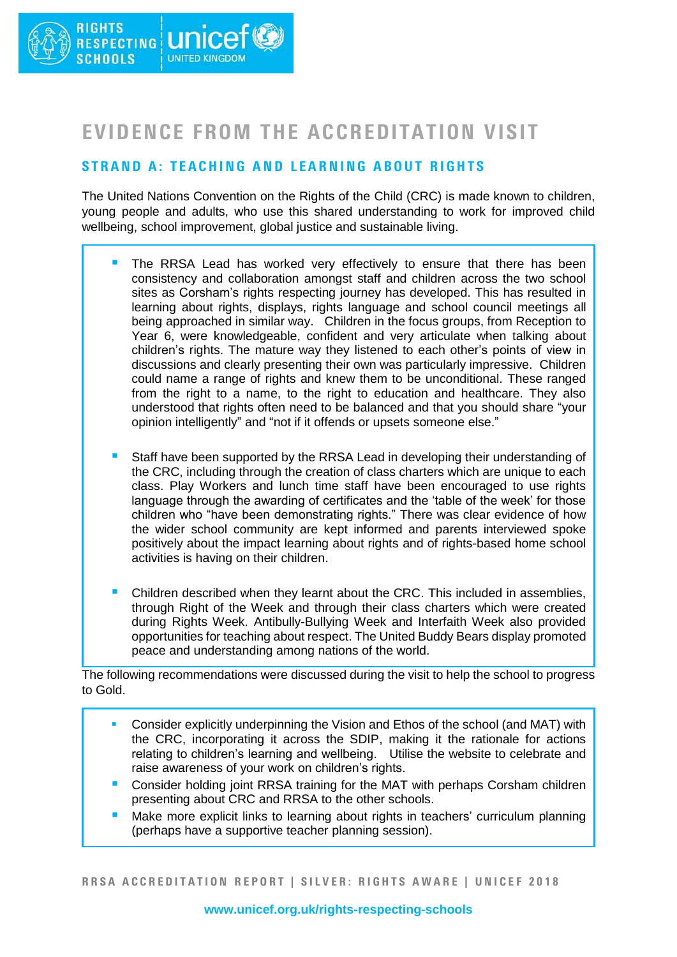### EVIDENCE FROM THE ACCREDITATION VISIT

### STRAND A: TEACHING AND LEARNING ABOUT RIGHTS

The United Nations Convention on the Rights of the Child (CRC) is made known to children, young people and adults, who use this shared understanding to work for improved child wellbeing, school improvement, global justice and sustainable living.

- **The RRSA Lead has worked very effectively to ensure that there has been** consistency and collaboration amongst staff and children across the two school sites as Corsham's rights respecting journey has developed. This has resulted in learning about rights, displays, rights language and school council meetings all being approached in similar way. Children in the focus groups, from Reception to Year 6, were knowledgeable, confident and very articulate when talking about children's rights. The mature way they listened to each other's points of view in discussions and clearly presenting their own was particularly impressive. Children could name a range of rights and knew them to be unconditional. These ranged from the right to a name, to the right to education and healthcare. They also understood that rights often need to be balanced and that you should share "your opinion intelligently" and "not if it offends or upsets someone else."
- Staff have been supported by the RRSA Lead in developing their understanding of the CRC, including through the creation of class charters which are unique to each class. Play Workers and lunch time staff have been encouraged to use rights language through the awarding of certificates and the 'table of the week' for those children who "have been demonstrating rights." There was clear evidence of how the wider school community are kept informed and parents interviewed spoke positively about the impact learning about rights and of rights-based home school activities is having on their children.
- Children described when they learnt about the CRC. This included in assemblies. through Right of the Week and through their class charters which were created during Rights Week. Antibully-Bullying Week and Interfaith Week also provided opportunities for teaching about respect. The United Buddy Bears display promoted peace and understanding among nations of the world.

The following recommendations were discussed during the visit to help the school to progress to Gold.

- Consider explicitly underpinning the Vision and Ethos of the school (and MAT) with the CRC, incorporating it across the SDIP, making it the rationale for actions relating to children's learning and wellbeing. Utilise the website to celebrate and raise awareness of your work on children's rights.
- Consider holding joint RRSA training for the MAT with perhaps Corsham children presenting about CRC and RRSA to the other schools.
- Make more explicit links to learning about rights in teachers' curriculum planning (perhaps have a supportive teacher planning session).

RRSA ACCREDITATION REPORT | SILVER: RIGHTS AWARE | UNICEF 2018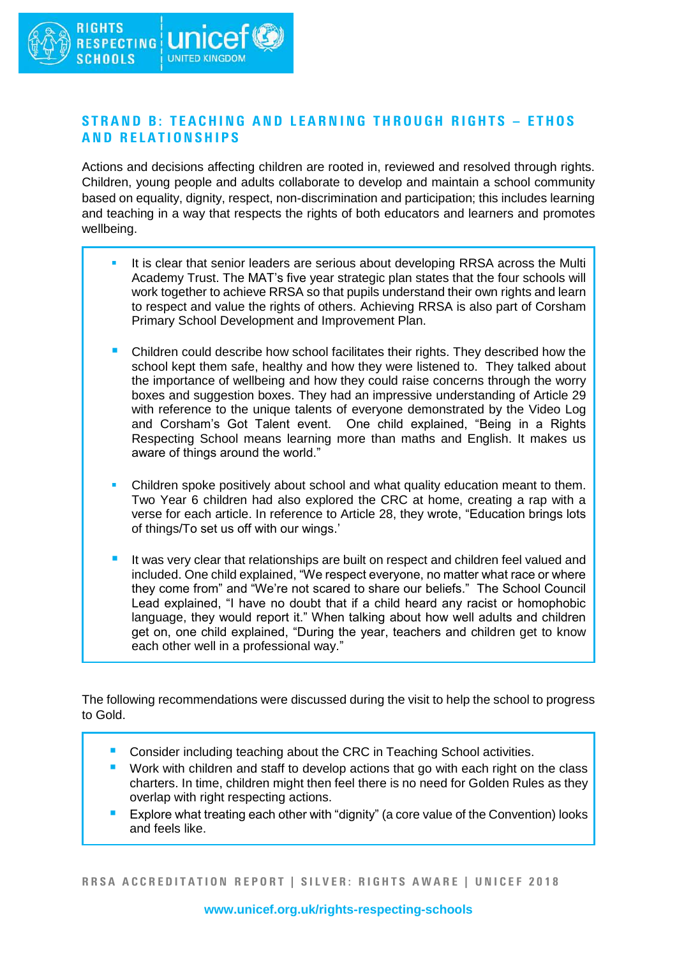#### STRAND B: TEACHING AND LEARNING THROUGH RIGHTS - ETHOS **AND RELATIONSHIPS**

Actions and decisions affecting children are rooted in, reviewed and resolved through rights. Children, young people and adults collaborate to develop and maintain a school community based on equality, dignity, respect, non-discrimination and participation; this includes learning and teaching in a way that respects the rights of both educators and learners and promotes wellbeing.

- It is clear that senior leaders are serious about developing RRSA across the Multi Academy Trust. The MAT's five year strategic plan states that the four schools will work together to achieve RRSA so that pupils understand their own rights and learn to respect and value the rights of others. Achieving RRSA is also part of Corsham Primary School Development and Improvement Plan.
- Children could describe how school facilitates their rights. They described how the school kept them safe, healthy and how they were listened to. They talked about the importance of wellbeing and how they could raise concerns through the worry boxes and suggestion boxes. They had an impressive understanding of Article 29 with reference to the unique talents of everyone demonstrated by the Video Log and Corsham's Got Talent event. One child explained, "Being in a Rights Respecting School means learning more than maths and English. It makes us aware of things around the world."
- Children spoke positively about school and what quality education meant to them. Two Year 6 children had also explored the CRC at home, creating a rap with a verse for each article. In reference to Article 28, they wrote, "Education brings lots of things/To set us off with our wings.'
- It was very clear that relationships are built on respect and children feel valued and included. One child explained, "We respect everyone, no matter what race or where they come from" and "We're not scared to share our beliefs." The School Council Lead explained, "I have no doubt that if a child heard any racist or homophobic language, they would report it." When talking about how well adults and children get on, one child explained, "During the year, teachers and children get to know each other well in a professional way."

The following recommendations were discussed during the visit to help the school to progress to Gold.

- Consider including teaching about the CRC in Teaching School activities.
- Work with children and staff to develop actions that go with each right on the class charters. In time, children might then feel there is no need for Golden Rules as they overlap with right respecting actions.
- Explore what treating each other with "dignity" (a core value of the Convention) looks and feels like.

RRSA ACCREDITATION REPORT | SILVER: RIGHTS AWARE | UNICEF 2018